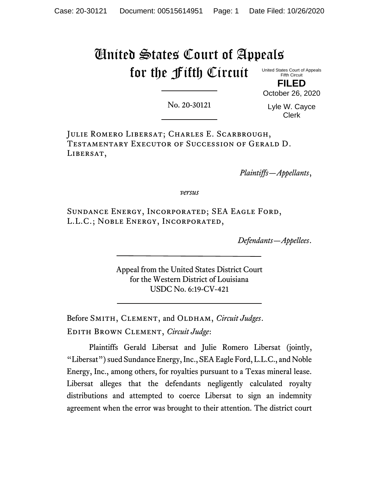# United States Court of Appeals for the Fifth Circuit

United States Court of Appeals Fifth Circuit

**FILED** October 26, 2020

No. 20-30121

Lyle W. Cayce Clerk

Julie Romero Libersat; Charles E. Scarbrough, Testamentary Executor of Succession of Gerald D. LIBERSAT,

*Plaintiffs—Appellants*,

*versus*

Sundance Energy, Incorporated; SEA Eagle Ford, L.L.C.; Noble Energy, Incorporated,

*Defendants—Appellees*.

Appeal from the United States District Court for the Western District of Louisiana USDC No. 6:19-CV-421

Before SMITH, CLEMENT, and OLDHAM, *Circuit Judges*. Edith Brown Clement, *Circuit Judge*:

Plaintiffs Gerald Libersat and Julie Romero Libersat (jointly, "Libersat") sued Sundance Energy, Inc., SEA Eagle Ford, L.L.C., and Noble Energy, Inc., among others, for royalties pursuant to a Texas mineral lease. Libersat alleges that the defendants negligently calculated royalty distributions and attempted to coerce Libersat to sign an indemnity agreement when the error was brought to their attention. The district court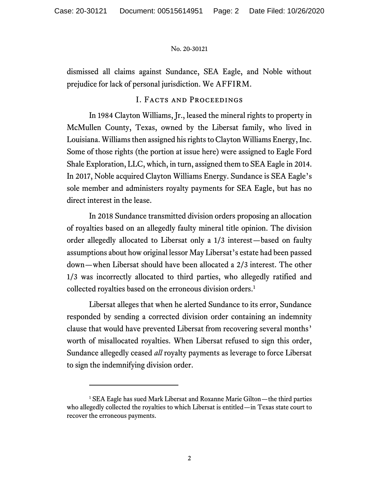dismissed all claims against Sundance, SEA Eagle, and Noble without prejudice for lack of personal jurisdiction. We AFFIRM.

# I. Facts and Proceedings

In 1984 Clayton Williams, Jr., leased the mineral rights to property in McMullen County, Texas, owned by the Libersat family, who lived in Louisiana. Williams then assigned his rights to Clayton Williams Energy, Inc. Some of those rights (the portion at issue here) were assigned to Eagle Ford Shale Exploration, LLC, which, in turn, assigned them to SEA Eagle in 2014. In 2017, Noble acquired Clayton Williams Energy. Sundance is SEA Eagle's sole member and administers royalty payments for SEA Eagle, but has no direct interest in the lease.

In 2018 Sundance transmitted division orders proposing an allocation of royalties based on an allegedly faulty mineral title opinion. The division order allegedly allocated to Libersat only a 1/3 interest—based on faulty assumptions about how original lessor May Libersat's estate had been passed down—when Libersat should have been allocated a 2/3 interest. The other 1/3 was incorrectly allocated to third parties, who allegedly ratified and collected royalties based on the erroneous division orders.<sup>1</sup>

Libersat alleges that when he alerted Sundance to its error, Sundance responded by sending a corrected division order containing an indemnity clause that would have prevented Libersat from recovering several months' worth of misallocated royalties. When Libersat refused to sign this order, Sundance allegedly ceased *all* royalty payments as leverage to force Libersat to sign the indemnifying division order.

<sup>&</sup>lt;sup>1</sup> SEA Eagle has sued Mark Libersat and Roxanne Marie Gilton—the third parties who allegedly collected the royalties to which Libersat is entitled—in Texas state court to recover the erroneous payments.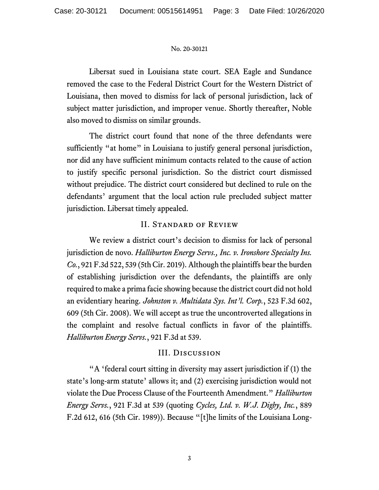Libersat sued in Louisiana state court. SEA Eagle and Sundance removed the case to the Federal District Court for the Western District of Louisiana, then moved to dismiss for lack of personal jurisdiction, lack of subject matter jurisdiction, and improper venue. Shortly thereafter, Noble also moved to dismiss on similar grounds.

The district court found that none of the three defendants were sufficiently "at home" in Louisiana to justify general personal jurisdiction, nor did any have sufficient minimum contacts related to the cause of action to justify specific personal jurisdiction. So the district court dismissed without prejudice. The district court considered but declined to rule on the defendants' argument that the local action rule precluded subject matter jurisdiction. Libersat timely appealed.

# II. Standard of Review

We review a district court's decision to dismiss for lack of personal jurisdiction de novo. *Halliburton Energy Servs., Inc. v. Ironshore Specialty Ins. Co.*, 921 F.3d 522, 539 (5th Cir. 2019). Although the plaintiffs bear the burden of establishing jurisdiction over the defendants, the plaintiffs are only required to make a prima facie showing because the district court did not hold an evidentiary hearing. *Johnston v. Multidata Sys. Int'l. Corp.*, 523 F.3d 602, 609 (5th Cir. 2008). We will accept as true the uncontroverted allegations in the complaint and resolve factual conflicts in favor of the plaintiffs. *Halliburton Energy Servs.*, 921 F.3d at 539.

# III. Discussion

"A 'federal court sitting in diversity may assert jurisdiction if (1) the state's long-arm statute' allows it; and (2) exercising jurisdiction would not violate the Due Process Clause of the Fourteenth Amendment." *Halliburton Energy Servs.*, 921 F.3d at 539 (quoting *Cycles, Ltd. v. W.J. Digby, Inc.*, 889 F.2d 612, 616 (5th Cir. 1989)). Because "[t]he limits of the Louisiana Long-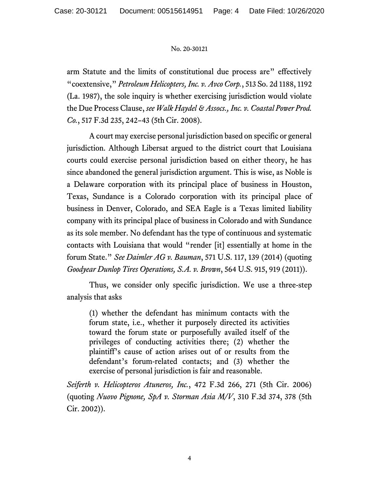arm Statute and the limits of constitutional due process are" effectively "coextensive," *Petroleum Helicopters, Inc. v. Avco Corp.*, 513 So. 2d 1188, 1192 (La. 1987), the sole inquiry is whether exercising jurisdiction would violate the Due Process Clause, *see Walk Haydel & Assocs., Inc. v. Coastal Power Prod. Co.*, 517 F.3d 235, 242–43 (5th Cir. 2008).

A court may exercise personal jurisdiction based on specific or general jurisdiction. Although Libersat argued to the district court that Louisiana courts could exercise personal jurisdiction based on either theory, he has since abandoned the general jurisdiction argument. This is wise, as Noble is a Delaware corporation with its principal place of business in Houston, Texas, Sundance is a Colorado corporation with its principal place of business in Denver, Colorado, and SEA Eagle is a Texas limited liability company with its principal place of business in Colorado and with Sundance as its sole member. No defendant has the type of continuous and systematic contacts with Louisiana that would "render [it] essentially at home in the forum State." *See Daimler AG v. Bauman*, 571 U.S. 117, 139 (2014) (quoting *Goodyear Dunlop Tires Operations, S.A. v. Brown*, 564 U.S. 915, 919 (2011)).

Thus, we consider only specific jurisdiction. We use a three-step analysis that asks

(1) whether the defendant has minimum contacts with the forum state, i.e., whether it purposely directed its activities toward the forum state or purposefully availed itself of the privileges of conducting activities there; (2) whether the plaintiff's cause of action arises out of or results from the defendant's forum-related contacts; and (3) whether the exercise of personal jurisdiction is fair and reasonable.

*Seiferth v. Helicopteros Atuneros, Inc.*, 472 F.3d 266, 271 (5th Cir. 2006) (quoting *Nuovo Pignone, SpA v. Storman Asia M/V*, 310 F.3d 374, 378 (5th Cir. 2002)).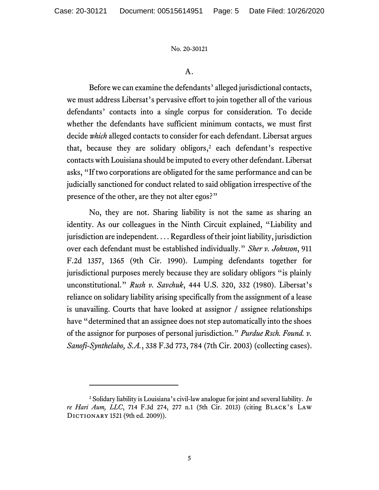A.

Before we can examine the defendants' alleged jurisdictional contacts, we must address Libersat's pervasive effort to join together all of the various defendants' contacts into a single corpus for consideration. To decide whether the defendants have sufficient minimum contacts, we must first decide *which* alleged contacts to consider for each defendant. Libersat argues that, because they are solidary obligors,<sup>2</sup> each defendant's respective contacts with Louisiana should be imputed to every other defendant. Libersat asks, "If two corporations are obligated for the same performance and can be judicially sanctioned for conduct related to said obligation irrespective of the presence of the other, are they not alter egos?"

No, they are not. Sharing liability is not the same as sharing an identity. As our colleagues in the Ninth Circuit explained, "Liability and jurisdiction are independent. . . . Regardless of their joint liability, jurisdiction over each defendant must be established individually." *Sher v. Johnson*, 911 F.2d 1357, 1365 (9th Cir. 1990). Lumping defendants together for jurisdictional purposes merely because they are solidary obligors "is plainly unconstitutional." *Rush v. Savchuk*, 444 U.S. 320, 332 (1980). Libersat's reliance on solidary liability arising specifically from the assignment of a lease is unavailing. Courts that have looked at assignor / assignee relationships have "determined that an assignee does not step automatically into the shoes of the assignor for purposes of personal jurisdiction." *Purdue Rsch. Found. v. Sanofi-Synthelabo, S.A.*, 338 F.3d 773, 784 (7th Cir. 2003) (collecting cases).

<sup>2</sup> Solidary liability is Louisiana's civil-law analogue for joint and several liability. *In re Hari Aum, LLC*, 714 F.3d 274, 277 n.1 (5th Cir. 2013) (citing Black's Law Dictionary 1521 (9th ed. 2009)).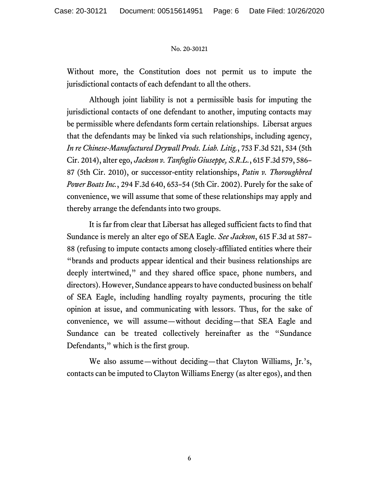Without more, the Constitution does not permit us to impute the jurisdictional contacts of each defendant to all the others.

Although joint liability is not a permissible basis for imputing the jurisdictional contacts of one defendant to another, imputing contacts may be permissible where defendants form certain relationships. Libersat argues that the defendants may be linked via such relationships, including agency, *In re Chinese-Manufactured Drywall Prods. Liab. Litig.*, 753 F.3d 521, 534 (5th Cir. 2014), alter ego, *Jackson v. Tanfoglio Giuseppe, S.R.L.*, 615 F.3d 579, 586– 87 (5th Cir. 2010), or successor-entity relationships, *Patin v. Thoroughbred Power Boats Inc.*, 294 F.3d 640, 653–54 (5th Cir. 2002). Purely for the sake of convenience, we will assume that some of these relationships may apply and thereby arrange the defendants into two groups.

It is far from clear that Libersat has alleged sufficient facts to find that Sundance is merely an alter ego of SEA Eagle. *See Jackson*, 615 F.3d at 587– 88 (refusing to impute contacts among closely-affiliated entities where their "brands and products appear identical and their business relationships are deeply intertwined," and they shared office space, phone numbers, and directors). However, Sundance appears to have conducted business on behalf of SEA Eagle, including handling royalty payments, procuring the title opinion at issue, and communicating with lessors. Thus, for the sake of convenience, we will assume—without deciding—that SEA Eagle and Sundance can be treated collectively hereinafter as the "Sundance Defendants," which is the first group.

We also assume—without deciding—that Clayton Williams, Jr.'s, contacts can be imputed to Clayton Williams Energy (as alter egos), and then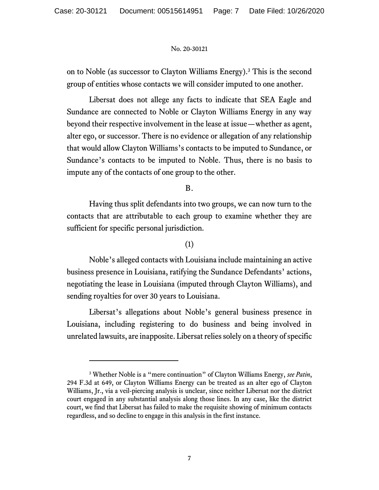on to Noble (as successor to Clayton Williams Energy).<sup>3</sup> This is the second group of entities whose contacts we will consider imputed to one another.

Libersat does not allege any facts to indicate that SEA Eagle and Sundance are connected to Noble or Clayton Williams Energy in any way beyond their respective involvement in the lease at issue—whether as agent, alter ego, or successor. There is no evidence or allegation of any relationship that would allow Clayton Williams's contacts to be imputed to Sundance, or Sundance's contacts to be imputed to Noble. Thus, there is no basis to impute any of the contacts of one group to the other.

B.

Having thus split defendants into two groups, we can now turn to the contacts that are attributable to each group to examine whether they are sufficient for specific personal jurisdiction.

# (1)

Noble's alleged contacts with Louisiana include maintaining an active business presence in Louisiana, ratifying the Sundance Defendants' actions, negotiating the lease in Louisiana (imputed through Clayton Williams), and sending royalties for over 30 years to Louisiana.

Libersat's allegations about Noble's general business presence in Louisiana, including registering to do business and being involved in unrelated lawsuits, are inapposite. Libersat relies solely on a theory of specific

<sup>3</sup> Whether Noble is a "mere continuation" of Clayton Williams Energy, *see Patin*, 294 F.3d at 649, or Clayton Williams Energy can be treated as an alter ego of Clayton Williams, Jr., via a veil-piercing analysis is unclear, since neither Libersat nor the district court engaged in any substantial analysis along those lines. In any case, like the district court, we find that Libersat has failed to make the requisite showing of minimum contacts regardless, and so decline to engage in this analysis in the first instance.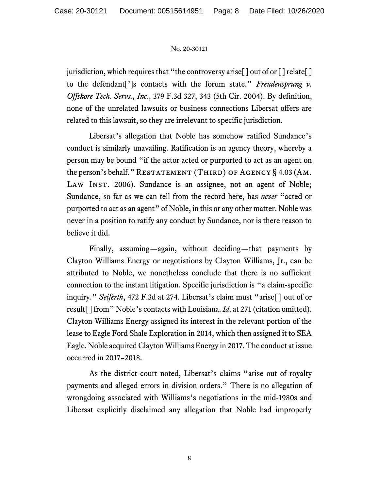jurisdiction, which requires that "the controversy arise  $\lceil \cdot \rceil$  out of or  $\lceil \cdot \rceil$  relate  $\lceil \cdot \rceil$ to the defendant[']s contacts with the forum state." *Freudensprung v. Offshore Tech. Servs., Inc.*, 379 F.3d 327, 343 (5th Cir. 2004). By definition, none of the unrelated lawsuits or business connections Libersat offers are related to this lawsuit, so they are irrelevant to specific jurisdiction.

Libersat's allegation that Noble has somehow ratified Sundance's conduct is similarly unavailing. Ratification is an agency theory, whereby a person may be bound "if the actor acted or purported to act as an agent on the person's behalf." RESTATEMENT (THIRD) OF AGENCY  $\S$  4.03 (AM. LAW INST. 2006). Sundance is an assignee, not an agent of Noble; Sundance, so far as we can tell from the record here, has *never* "acted or purported to act as an agent" of Noble, in this or any other matter. Noble was never in a position to ratify any conduct by Sundance, nor is there reason to believe it did.

Finally, assuming—again, without deciding—that payments by Clayton Williams Energy or negotiations by Clayton Williams, Jr., can be attributed to Noble, we nonetheless conclude that there is no sufficient connection to the instant litigation. Specific jurisdiction is "a claim-specific inquiry." *Seiferth*, 472 F.3d at 274. Libersat's claim must "arise[ ] out of or result[ ] from" Noble's contacts with Louisiana. *Id*. at 271 (citation omitted). Clayton Williams Energy assigned its interest in the relevant portion of the lease to Eagle Ford Shale Exploration in 2014, which then assigned it to SEA Eagle. Noble acquired Clayton Williams Energy in 2017. The conduct at issue occurred in 2017–2018.

As the district court noted, Libersat's claims "arise out of royalty payments and alleged errors in division orders." There is no allegation of wrongdoing associated with Williams's negotiations in the mid-1980s and Libersat explicitly disclaimed any allegation that Noble had improperly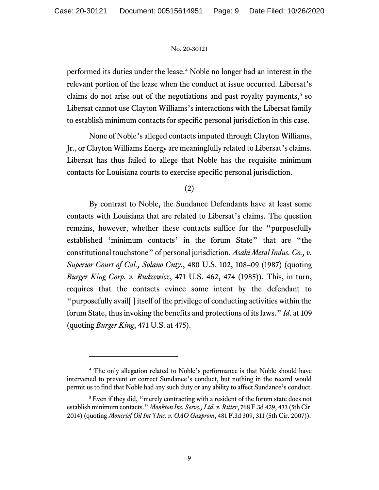performed its duties under the lease.<sup>4</sup> Noble no longer had an interest in the relevant portion of the lease when the conduct at issue occurred. Libersat's claims do not arise out of the negotiations and past royalty payments,<sup>5</sup> so Libersat cannot use Clayton Williams's interactions with the Libersat family to establish minimum contacts for specific personal jurisdiction in this case.

None of Noble's alleged contacts imputed through Clayton Williams, Jr., or Clayton Williams Energy are meaningfully related to Libersat's claims. Libersat has thus failed to allege that Noble has the requisite minimum contacts for Louisiana courts to exercise specific personal jurisdiction.

# (2)

By contrast to Noble, the Sundance Defendants have at least some contacts with Louisiana that are related to Libersat's claims. The question remains, however, whether these contacts suffice for the "purposefully established 'minimum contacts' in the forum State" that are "the constitutional touchstone" of personal jurisdiction. *Asahi Metal Indus. Co., v. Superior Court of Cal., Solano Cnty.*, 480 U.S. 102, 108–09 (1987) (quoting *Burger King Corp. v. Rudzewicz*, 471 U.S. 462, 474 (1985)). This, in turn, requires that the contacts evince some intent by the defendant to "purposefully avail[ ] itself of the privilege of conducting activities within the forum State, thus invoking the benefits and protections of its laws." *Id*. at 109 (quoting *Burger King*, 471 U.S. at 475).

<sup>4</sup> The only allegation related to Noble's performance is that Noble should have intervened to prevent or correct Sundance's conduct, but nothing in the record would permit us to find that Noble had any such duty or any ability to affect Sundance's conduct.

<sup>&</sup>lt;sup>5</sup> Even if they did, "merely contracting with a resident of the forum state does not establish minimum contacts." *Monkton Ins. Servs., Ltd. v. Ritter*, 768 F.3d 429, 433 (5th Cir. 2014) (quoting *Moncrief Oil Int'l Inc. v. OAO Gazprom*, 481 F.3d 309, 311 (5th Cir. 2007)).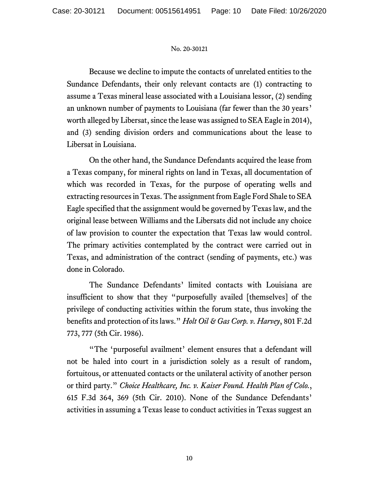Because we decline to impute the contacts of unrelated entities to the Sundance Defendants, their only relevant contacts are (1) contracting to assume a Texas mineral lease associated with a Louisiana lessor, (2) sending an unknown number of payments to Louisiana (far fewer than the 30 years' worth alleged by Libersat, since the lease was assigned to SEA Eagle in 2014), and (3) sending division orders and communications about the lease to Libersat in Louisiana.

On the other hand, the Sundance Defendants acquired the lease from a Texas company, for mineral rights on land in Texas, all documentation of which was recorded in Texas, for the purpose of operating wells and extracting resources in Texas. The assignment from Eagle Ford Shale to SEA Eagle specified that the assignment would be governed by Texas law, and the original lease between Williams and the Libersats did not include any choice of law provision to counter the expectation that Texas law would control. The primary activities contemplated by the contract were carried out in Texas, and administration of the contract (sending of payments, etc.) was done in Colorado.

The Sundance Defendants' limited contacts with Louisiana are insufficient to show that they "purposefully availed [themselves] of the privilege of conducting activities within the forum state, thus invoking the benefits and protection of its laws." *Holt Oil & Gas Corp. v. Harvey*, 801 F.2d 773, 777 (5th Cir. 1986).

"The 'purposeful availment' element ensures that a defendant will not be haled into court in a jurisdiction solely as a result of random, fortuitous, or attenuated contacts or the unilateral activity of another person or third party." *Choice Healthcare, Inc. v. Kaiser Found. Health Plan of Colo.*, 615 F.3d 364, 369 (5th Cir. 2010). None of the Sundance Defendants' activities in assuming a Texas lease to conduct activities in Texas suggest an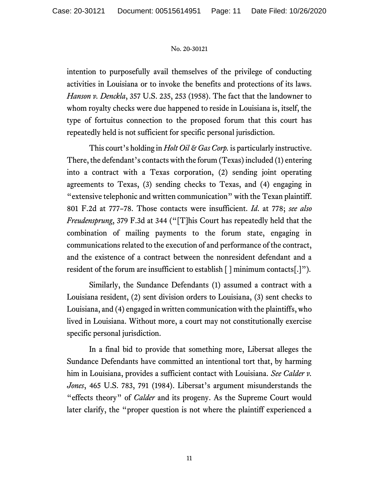intention to purposefully avail themselves of the privilege of conducting activities in Louisiana or to invoke the benefits and protections of its laws. *Hanson v. Denckla*, 357 U.S. 235, 253 (1958). The fact that the landowner to whom royalty checks were due happened to reside in Louisiana is, itself, the type of fortuitus connection to the proposed forum that this court has repeatedly held is not sufficient for specific personal jurisdiction.

This court's holding in *Holt Oil & Gas Corp.* is particularly instructive. There, the defendant's contacts with the forum (Texas) included (1) entering into a contract with a Texas corporation, (2) sending joint operating agreements to Texas, (3) sending checks to Texas, and (4) engaging in "extensive telephonic and written communication" with the Texan plaintiff. 801 F.2d at 777–78. Those contacts were insufficient. *Id*. at 778; *see also Freudensprung*, 379 F.3d at 344 ("[T]his Court has repeatedly held that the combination of mailing payments to the forum state, engaging in communications related to the execution of and performance of the contract, and the existence of a contract between the nonresident defendant and a resident of the forum are insufficient to establish [ ] minimum contacts[.]")*.*

Similarly, the Sundance Defendants (1) assumed a contract with a Louisiana resident, (2) sent division orders to Louisiana, (3) sent checks to Louisiana, and (4) engaged in written communication with the plaintiffs, who lived in Louisiana. Without more, a court may not constitutionally exercise specific personal jurisdiction.

In a final bid to provide that something more, Libersat alleges the Sundance Defendants have committed an intentional tort that, by harming him in Louisiana, provides a sufficient contact with Louisiana. *See Calder v. Jones*, 465 U.S. 783, 791 (1984). Libersat's argument misunderstands the "effects theory" of *Calder* and its progeny. As the Supreme Court would later clarify, the "proper question is not where the plaintiff experienced a